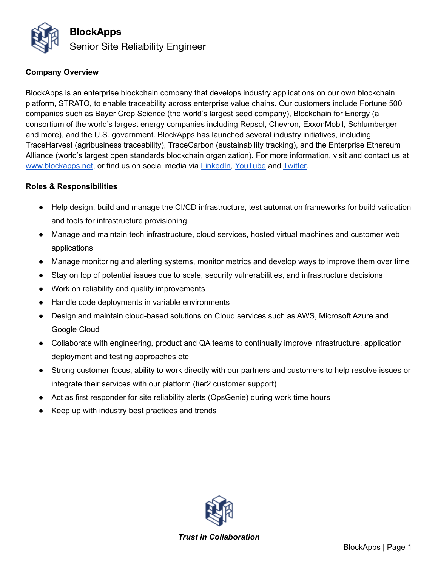

## **Company Overview**

BlockApps is an enterprise blockchain company that develops industry applications on our own blockchain platform, STRATO, to enable traceability across enterprise value chains. Our customers include Fortune 500 companies such as Bayer Crop Science (the world's largest seed company), Blockchain for Energy (a consortium of the world's largest energy companies including Repsol, Chevron, ExxonMobil, Schlumberger and more), and the U.S. government. BlockApps has launched several industry initiatives, including TraceHarvest (agribusiness traceability), TraceCarbon (sustainability tracking), and the Enterprise Ethereum Alliance (world's largest open standards blockchain organization). For more information, visit and contact us at [www.blockapps.net](http://www.blockapps.net), or find us on social media via [LinkedIn,](https://www.linkedin.com/company/10267837/) [YouTube](https://www.youtube.com/channel/UC90KMyw1HFb39da02PjRFjw) and [Twitter.](https://twitter.com/blockapps)

## **Roles & Responsibilities**

- Help design, build and manage the CI/CD infrastructure, test automation frameworks for build validation and tools for infrastructure provisioning
- Manage and maintain tech infrastructure, cloud services, hosted virtual machines and customer web applications
- Manage monitoring and alerting systems, monitor metrics and develop ways to improve them over time
- Stay on top of potential issues due to scale, security vulnerabilities, and infrastructure decisions
- Work on reliability and quality improvements
- Handle code deployments in variable environments
- Design and maintain cloud-based solutions on Cloud services such as AWS, Microsoft Azure and Google Cloud
- Collaborate with engineering, product and QA teams to continually improve infrastructure, application deployment and testing approaches etc
- Strong customer focus, ability to work directly with our partners and customers to help resolve issues or integrate their services with our platform (tier2 customer support)
- Act as first responder for site reliability alerts (OpsGenie) during work time hours
- Keep up with industry best practices and trends